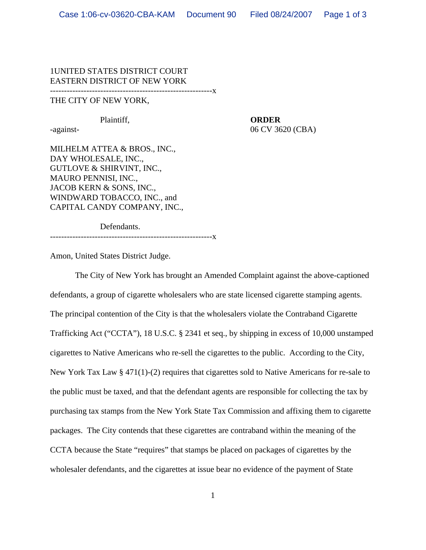## 1UNITED STATES DISTRICT COURT EASTERN DISTRICT OF NEW YORK

----------------------------------------------------------x

## THE CITY OF NEW YORK,

## Plaintiff, **ORDER**

-against-<br>
06 CV 3620 (CBA)

MILHELM ATTEA & BROS., INC., DAY WHOLESALE, INC., GUTLOVE & SHIRVINT, INC., MAURO PENNISI, INC., JACOB KERN & SONS, INC., WINDWARD TOBACCO, INC., and CAPITAL CANDY COMPANY, INC.,

Defendants.

----------------------------------------------------------x

Amon, United States District Judge.

The City of New York has brought an Amended Complaint against the above-captioned defendants, a group of cigarette wholesalers who are state licensed cigarette stamping agents. The principal contention of the City is that the wholesalers violate the Contraband Cigarette Trafficking Act ("CCTA"), 18 U.S.C. § 2341 et seq., by shipping in excess of 10,000 unstamped cigarettes to Native Americans who re-sell the cigarettes to the public. According to the City, New York Tax Law § 471(1)-(2) requires that cigarettes sold to Native Americans for re-sale to the public must be taxed, and that the defendant agents are responsible for collecting the tax by purchasing tax stamps from the New York State Tax Commission and affixing them to cigarette packages. The City contends that these cigarettes are contraband within the meaning of the CCTA because the State "requires" that stamps be placed on packages of cigarettes by the wholesaler defendants, and the cigarettes at issue bear no evidence of the payment of State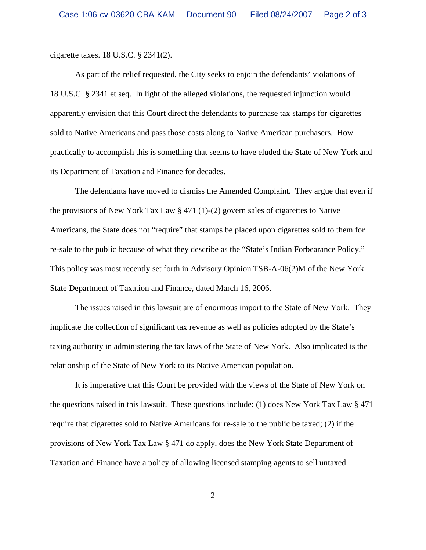cigarette taxes. 18 U.S.C. § 2341(2).

As part of the relief requested, the City seeks to enjoin the defendants' violations of 18 U.S.C. § 2341 et seq. In light of the alleged violations, the requested injunction would apparently envision that this Court direct the defendants to purchase tax stamps for cigarettes sold to Native Americans and pass those costs along to Native American purchasers. How practically to accomplish this is something that seems to have eluded the State of New York and its Department of Taxation and Finance for decades.

The defendants have moved to dismiss the Amended Complaint. They argue that even if the provisions of New York Tax Law  $\S 471$  (1)-(2) govern sales of cigarettes to Native Americans, the State does not "require" that stamps be placed upon cigarettes sold to them for re-sale to the public because of what they describe as the "State's Indian Forbearance Policy." This policy was most recently set forth in Advisory Opinion TSB-A-06(2)M of the New York State Department of Taxation and Finance, dated March 16, 2006.

The issues raised in this lawsuit are of enormous import to the State of New York. They implicate the collection of significant tax revenue as well as policies adopted by the State's taxing authority in administering the tax laws of the State of New York. Also implicated is the relationship of the State of New York to its Native American population.

It is imperative that this Court be provided with the views of the State of New York on the questions raised in this lawsuit. These questions include: (1) does New York Tax Law  $\S 471$ require that cigarettes sold to Native Americans for re-sale to the public be taxed; (2) if the provisions of New York Tax Law § 471 do apply, does the New York State Department of Taxation and Finance have a policy of allowing licensed stamping agents to sell untaxed